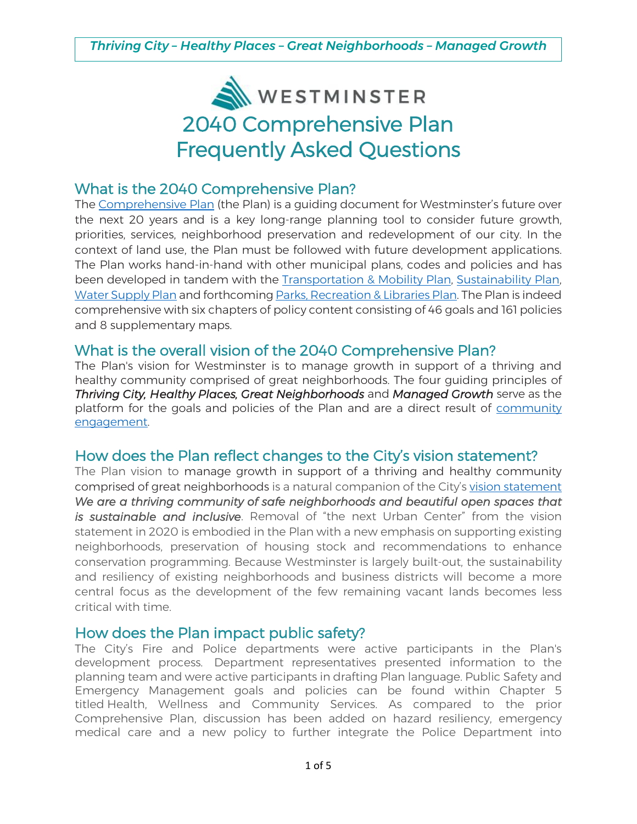

### What is the 2040 Comprehensive Plan?

The [Comprehensive Plan](https://www.cityofwestminster.us/Government/Departments/CommunityDevelopment/Planning/LongRangePlanningandUrbanDesign/ComprehensivePlan) (the Plan) is a guiding document for Westminster's future over the next 20 years and is a key long-range planning tool to consider future growth, priorities, services, neighborhood preservation and redevelopment of our city. In the context of land use, the Plan must be followed with future development applications. The Plan works hand-in-hand with other municipal plans, codes and policies and has been developed in tandem with the [Transportation](https://www.cityofwestminster.us/TransportationMobilityPlan) & Mobility Plan, [Sustainability](http://www.cityofwestminster.us/Residents/CityServices/Sustainability/SustainabilityPlan) Plan, Water [Supply](http://www.cityofwestminster.us/Government/Departments/CommunityDevelopment/WestminsterForward/WaterSupplyPlan) Plan and forthcoming Parks, [Recreation](https://www.cityofwestminster.us/Government/Departments/CommunityDevelopment/WestminsterForward/Parks,RecreationLibrariesPlan) & Libraries Plan. The Plan is indeed comprehensive with six chapters of policy content consisting of 46 goals and 161 policies and 8 supplementary maps.

# What is the overall vision of the 2040 Comprehensive Plan?

The Plan's vision for Westminster is to manage growth in support of a thriving and healthy community comprised of great neighborhoods. The four guiding principles of *Thriving City, Healthy Places, Great Neighborhoods* and *Managed Growth* serve as the platform for the goals and policies of the Plan and are a direct result of [community](https://www.cityofwestminster.us/Portals/1/Documents/Government%20-%20Documents/Departments/Community%20Development/Planning/2018-2020-engagement-summary%5B6660%5D_1.pdf)  [engagement.](https://www.cityofwestminster.us/Portals/1/Documents/Government%20-%20Documents/Departments/Community%20Development/Planning/2018-2020-engagement-summary%5B6660%5D_1.pdf)

# How does the Plan reflect changes to the City's vision statement?

The Plan vision to manage growth in support of a thriving and healthy community comprised of great neighborhoods is a natural companion of the City's vision [statement](https://www.cityofwestminster.us/Government/CityCouncil/CitysVision) *We are a thriving community of safe neighborhoods and beautiful open spaces that is sustainable and inclusive*. Removal of "the next Urban Center" from the vision statement in 2020 is embodied in the Plan with a new emphasis on supporting existing neighborhoods, preservation of housing stock and recommendations to enhance conservation programming. Because Westminster is largely built-out, the sustainability and resiliency of existing neighborhoods and business districts will become a more central focus as the development of the few remaining vacant lands becomes less critical with time.

#### How does the Plan impact public safety?

The City's Fire and Police departments were active participants in the Plan's development process. Department representatives presented information to the planning team and were active participants in drafting Plan language. Public Safety and Emergency Management goals and policies can be found within Chapter 5 titled Health, Wellness and Community Services. As compared to the prior Comprehensive Plan, discussion has been added on hazard resiliency, emergency medical care and a new policy to further integrate the Police Department into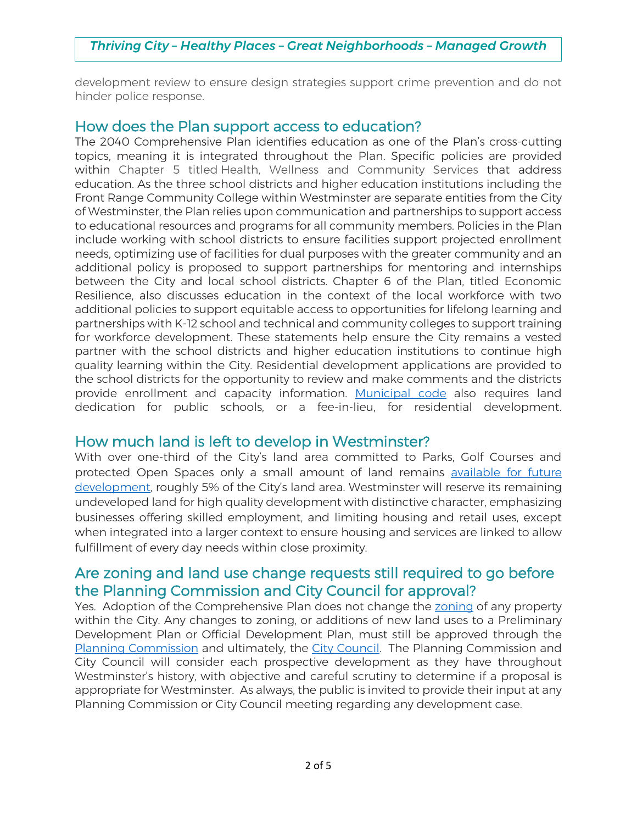### *Thriving City – Healthy Places – Great Neighborhoods – Managed Growth*

development review to ensure design strategies support crime prevention and do not hinder police response.

#### How does the Plan support access to education?

The 2040 Comprehensive Plan identifies education as one of the Plan's cross-cutting topics, meaning it is integrated throughout the Plan. Specific policies are provided within Chapter 5 titled Health, Wellness and Community Services that address education. As the three school districts and higher education institutions including the Front Range Community College within Westminster are separate entities from the City of Westminster, the Plan relies upon communication and partnerships to support access to educational resources and programs for all community members. Policies in the Plan include working with school districts to ensure facilities support projected enrollment needs, optimizing use of facilities for dual purposes with the greater community and an additional policy is proposed to support partnerships for mentoring and internships between the City and local school districts. Chapter 6 of the Plan, titled Economic Resilience, also discusses education in the context of the local workforce with two additional policies to support equitable access to opportunities for lifelong learning and partnerships with K-12 school and technical and community colleges to support training for workforce development. These statements help ensure the City remains a vested partner with the school districts and higher education institutions to continue high quality learning within the City. Residential development applications are provided to the school districts for the opportunity to review and make comments and the districts provide enrollment and capacity information. [Municipal code](https://library.municode.com/co/westminster/codes/code_of_ordinances?nodeId=CD_ORD_TITXILADEGRPR_CH6PUIM_11-6-8DEPRPUPU) also requires land dedication for public schools, or a fee-in-lieu, for residential development.

#### How much land is left to develop in Westminster?

With over one-third of the City's land area committed to Parks, Golf Courses and protected Open Spaces only a small amount of land remains [available for future](https://westminster.maps.arcgis.com/apps/View/index.html?appid=51682ca665df4f9093dcacb7efe1f612)  [development](https://westminster.maps.arcgis.com/apps/View/index.html?appid=51682ca665df4f9093dcacb7efe1f612), roughly 5% of the City's land area. Westminster will reserve its remaining undeveloped land for high quality development with distinctive character, emphasizing businesses offering skilled employment, and limiting housing and retail uses, except when integrated into a larger context to ensure housing and services are linked to allow fulfillment of every day needs within close proximity.

# Are zoning and land use change requests still required to go before the Planning Commission and City Council for approval?

Yes. Adoption of the Comprehensive Plan does not change the [zoning](https://www.cityofwestminster.us/Government/Departments/CommunityDevelopment/Planning/Zoning) of any property within the City. Any changes to zoning, or additions of new land uses to a Preliminary Development Plan or Official Development Plan, must still be approved through the Planning [Commission](https://www.cityofwestminster.us/pc) and ultimately, the City [Council.](https://www.cityofwestminster.us/Government/CityCouncil) The Planning Commission and City Council will consider each prospective development as they have throughout Westminster's history, with objective and careful scrutiny to determine if a proposal is appropriate for Westminster. As always, the public is invited to provide their input at any Planning Commission or City Council meeting regarding any development case.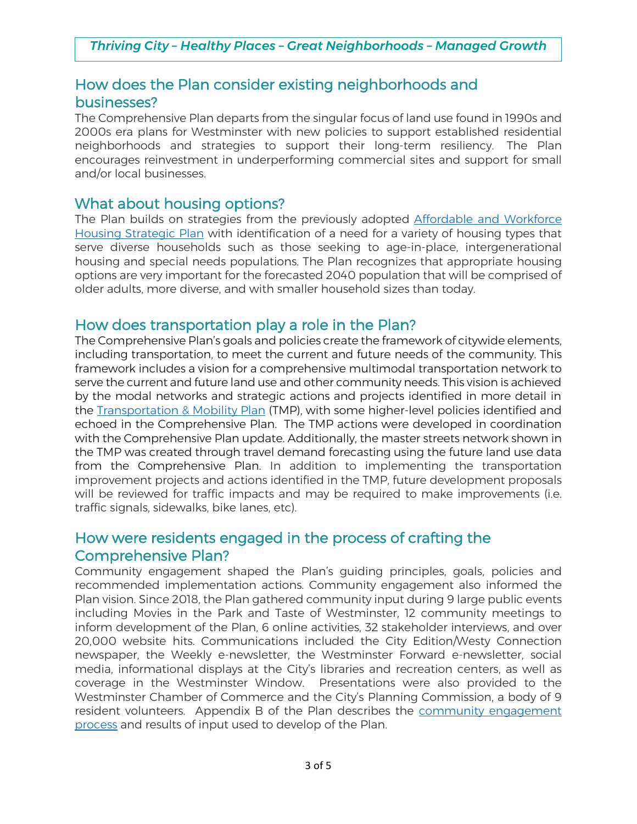# How does the Plan consider existing neighborhoods and businesses?

The Comprehensive Plan departs from the singular focus of land use found in 1990s and 2000s era plans for Westminster with new policies to support established residential neighborhoods and strategies to support their long-term resiliency. The Plan encourages reinvestment in underperforming commercial sites and support for small and/or local businesses.

#### What about housing options?

The Plan builds on strategies from the previously adopted [Affordable](https://www.westminstereconomicdevelopment.org/wp-content/uploads/2017/05/Housing-Strategic-Plan-FINAL-Westminster.pdf) and Workforce Housing [Strategic](https://www.westminstereconomicdevelopment.org/wp-content/uploads/2017/05/Housing-Strategic-Plan-FINAL-Westminster.pdf) Plan with identification of a need for a variety of housing types that serve diverse households such as those seeking to age-in-place, intergenerational housing and special needs populations. The Plan recognizes that appropriate housing options are very important for the forecasted 2040 population that will be comprised of older adults, more diverse, and with smaller household sizes than today.

### How does transportation play a role in the Plan?

The Comprehensive Plan's goals and policies create the framework of citywide elements, including transportation, to meet the current and future needs of the community. This framework includes a vision for a comprehensive multimodal transportation network to serve the current and future land use and other community needs. This vision is achieved by the modal networks and strategic actions and projects identified in more detail in the [Transportation & Mobility Plan](https://www.cityofwestminster.us/CommunityDevelopment/TransportationMobilityPlan) (TMP), with some higher-level policies identified and echoed in the Comprehensive Plan. The TMP actions were developed in coordination with the Comprehensive Plan update. Additionally, the master streets network shown in the TMP was created through travel demand forecasting using the future land use data from the Comprehensive Plan. In addition to implementing the transportation improvement projects and actions identified in the TMP, future development proposals will be reviewed for traffic impacts and may be required to make improvements (i.e. traffic signals, sidewalks, bike lanes, etc).

# How were residents engaged in the process of crafting the Comprehensive Plan?

Community engagement shaped the Plan's guiding principles, goals, policies and recommended implementation actions. Community engagement also informed the Plan vision. Since 2018, the Plan gathered community input during 9 large public events including Movies in the Park and Taste of Westminster, 12 community meetings to inform development of the Plan, 6 online activities, 32 stakeholder interviews, and over 20,000 website hits. Communications included the City Edition/Westy Connection newspaper, the Weekly e-newsletter, the Westminster Forward e-newsletter, social media, informational displays at the City's libraries and recreation centers, as well as coverage in the Westminster Window. Presentations were also provided to the Westminster Chamber of Commerce and the City's Planning Commission, a body of 9 resident volunteers. Appendix B of the Plan describes the community [engagement](https://www.cityofwestminster.us/Portals/1/Documents/Government%20-%20Documents/Departments/Community%20Development/Planning/2018-2020-engagement-summary%5B6660%5D_1.pdf) [process](https://www.cityofwestminster.us/Portals/1/Documents/Government%20-%20Documents/Departments/Community%20Development/Planning/2018-2020-engagement-summary%5B6660%5D_1.pdf) and results of input used to develop of the Plan.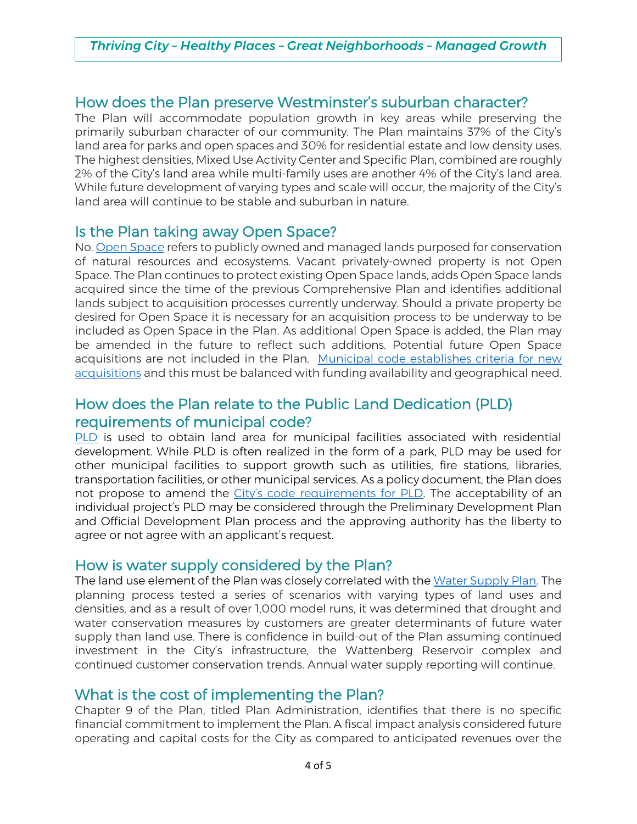# How does the Plan preserve Westminster's suburban character?

The Plan will accommodate population growth in key areas while preserving the primarily suburban character of our community. The Plan maintains 37% of the City's land area for parks and open spaces and 30% for residential estate and low density uses. The highest densities, Mixed Use Activity Center and Specific Plan, combined are roughly 2% of the City's land area while multi-family uses are another 4% of the City's land area. While future development of varying types and scale will occur, the majority of the City's land area will continue to be stable and suburban in nature.

### Is the Plan taking away Open Space?

No. Open [Space](https://westminster.maps.arcgis.com/apps/webappviewer/index.html?id=84e5fc974e1e4bafa34d3519f20812e9) refers to publicly owned and managed lands purposed for conservation of natural resources and ecosystems. Vacant privately-owned property is not Open Space. The Plan continues to protect existing Open Space lands, adds Open Space lands acquired since the time of the previous Comprehensive Plan and identifies additional lands subject to acquisition processes currently underway. Should a private property be desired for Open Space it is necessary for an acquisition process to be underway to be included as Open Space in the Plan. As additional Open Space is added, the Plan may be amended in the future to reflect such additions. Potential future Open Space acquisitions are not included in the Plan. Municipal code [establishes](https://library.municode.com/co/westminster/codes/code_of_ordinances?nodeId=CD_ORD_TITXIIIPARELI_CH5OPSPPR) criteria for new [acquisitions](https://library.municode.com/co/westminster/codes/code_of_ordinances?nodeId=CD_ORD_TITXIIIPARELI_CH5OPSPPR) and this must be balanced with funding availability and geographical need.

# How does the Plan relate to the Public Land Dedication (PLD) requirements of municipal code?

[PLD](https://library.municode.com/co/westminster/codes/code_of_ordinances?nodeId=CD_ORD_TITXILADEGRPR_CH6PUIM_11-6-8DEPRPUPU) is used to obtain land area for municipal facilities associated with residential development. While PLD is often realized in the form of a park, PLD may be used for other municipal facilities to support growth such as utilities, fire stations, libraries, transportation facilities, or other municipal services. As a policy document, the Plan does not propose to amend the C[ity's code requirements for PLD](https://library.municode.com/co/westminster/codes/code_of_ordinances?nodeId=CD_ORD_TITXILADEGRPR_CH6PUIM_11-6-8DEPRPUPU). The acceptability of an individual project's PLD may be considered through the Preliminary Development Plan and Official Development Plan process and the approving authority has the liberty to agree or not agree with an applicant's request.

#### How is water supply considered by the Plan?

The land use element of the Plan was closely correlated with the Water [Supply](http://www.cityofwestminster.us/Government/Departments/CommunityDevelopment/WestminsterForward/WaterSupplyPlan) Plan. The planning process tested a series of scenarios with varying types of land uses and densities, and as a result of over 1,000 model runs, it was determined that drought and water conservation measures by customers are greater determinants of future water supply than land use. There is confidence in build-out of the Plan assuming continued investment in the City's infrastructure, the Wattenberg Reservoir complex and continued customer conservation trends. Annual water supply reporting will continue.

#### What is the cost of implementing the Plan?

Chapter 9 of the Plan, titled Plan Administration, identifies that there is no specific financial commitment to implement the Plan. A fiscal impact analysis considered future operating and capital costs for the City as compared to anticipated revenues over the